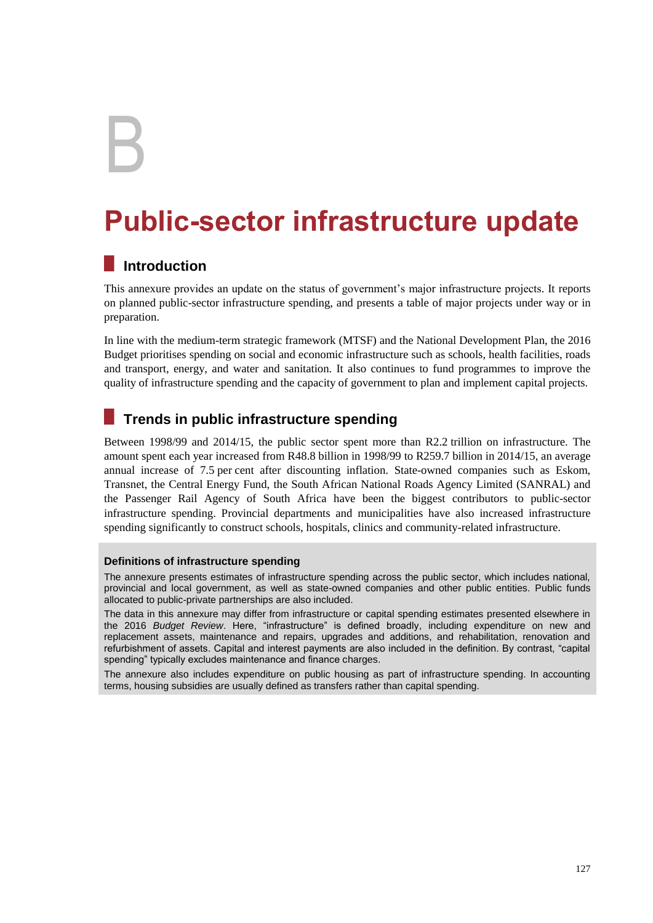B

# **Public-sector infrastructure update**

# **Introduction**

This annexure provides an update on the status of government's major infrastructure projects. It reports on planned public-sector infrastructure spending, and presents a table of major projects under way or in preparation.

In line with the medium-term strategic framework (MTSF) and the National Development Plan, the 2016 Budget prioritises spending on social and economic infrastructure such as schools, health facilities, roads and transport, energy, and water and sanitation. It also continues to fund programmes to improve the quality of infrastructure spending and the capacity of government to plan and implement capital projects.

# **Trends in public infrastructure spending**

Between 1998/99 and 2014/15, the public sector spent more than R2.2 trillion on infrastructure. The amount spent each year increased from R48.8 billion in 1998/99 to R259.7 billion in 2014/15, an average annual increase of 7.5 per cent after discounting inflation. State-owned companies such as Eskom, Transnet, the Central Energy Fund, the South African National Roads Agency Limited (SANRAL) and the Passenger Rail Agency of South Africa have been the biggest contributors to public-sector infrastructure spending. Provincial departments and municipalities have also increased infrastructure spending significantly to construct schools, hospitals, clinics and community-related infrastructure.

#### **Definitions of infrastructure spending**

The annexure presents estimates of infrastructure spending across the public sector, which includes national, provincial and local government, as well as state-owned companies and other public entities. Public funds allocated to public-private partnerships are also included.

The data in this annexure may differ from infrastructure or capital spending estimates presented elsewhere in the 2016 *Budget Review*. Here, "infrastructure" is defined broadly, including expenditure on new and replacement assets, maintenance and repairs, upgrades and additions, and rehabilitation, renovation and refurbishment of assets. Capital and interest payments are also included in the definition. By contrast, "capital spending" typically excludes maintenance and finance charges.

The annexure also includes expenditure on public housing as part of infrastructure spending. In accounting terms, housing subsidies are usually defined as transfers rather than capital spending.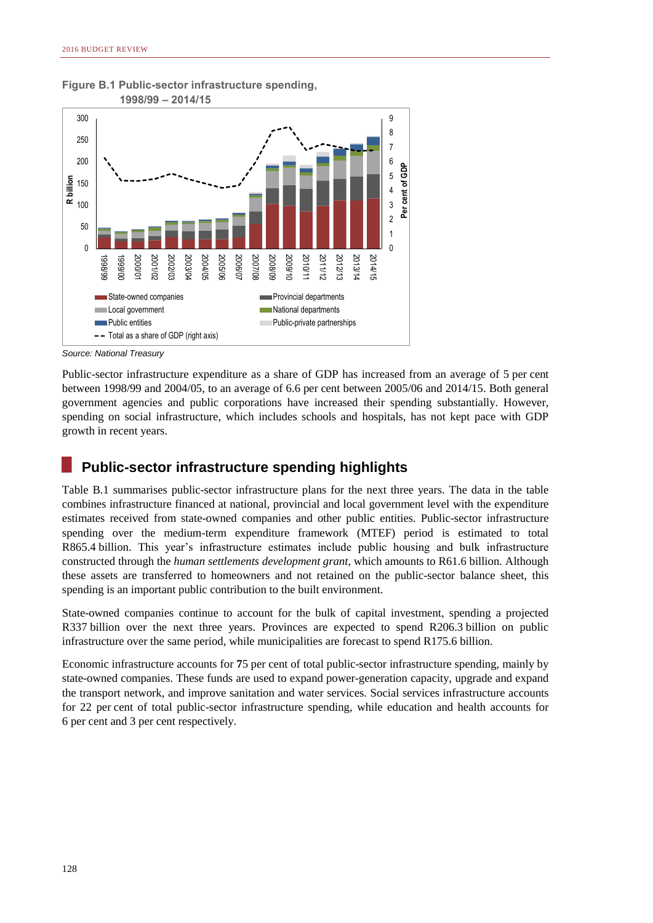

**Figure B.1 Public-sector infrastructure spending,**

*Source: National Treasury*

Public-sector infrastructure expenditure as a share of GDP has increased from an average of 5 per cent between 1998/99 and 2004/05, to an average of 6.6 per cent between 2005/06 and 2014/15. Both general government agencies and public corporations have increased their spending substantially. However, spending on social infrastructure, which includes schools and hospitals, has not kept pace with GDP growth in recent years.

### **Public-sector infrastructure spending highlights**

Table B.1 summarises public-sector infrastructure plans for the next three years. The data in the table combines infrastructure financed at national, provincial and local government level with the expenditure estimates received from state-owned companies and other public entities. Public-sector infrastructure spending over the medium-term expenditure framework (MTEF) period is estimated to total R865.4 billion. This year's infrastructure estimates include public housing and bulk infrastructure constructed through the *human settlements development grant,* which amounts to R61.6 billion. Although these assets are transferred to homeowners and not retained on the public-sector balance sheet, this spending is an important public contribution to the built environment.

State-owned companies continue to account for the bulk of capital investment, spending a projected R337 billion over the next three years. Provinces are expected to spend R206.3 billion on public infrastructure over the same period, while municipalities are forecast to spend R175.6 billion.

Economic infrastructure accounts for **7**5 per cent of total public-sector infrastructure spending, mainly by state-owned companies. These funds are used to expand power-generation capacity, upgrade and expand the transport network, and improve sanitation and water services. Social services infrastructure accounts for 22 per cent of total public-sector infrastructure spending, while education and health accounts for 6 per cent and 3 per cent respectively.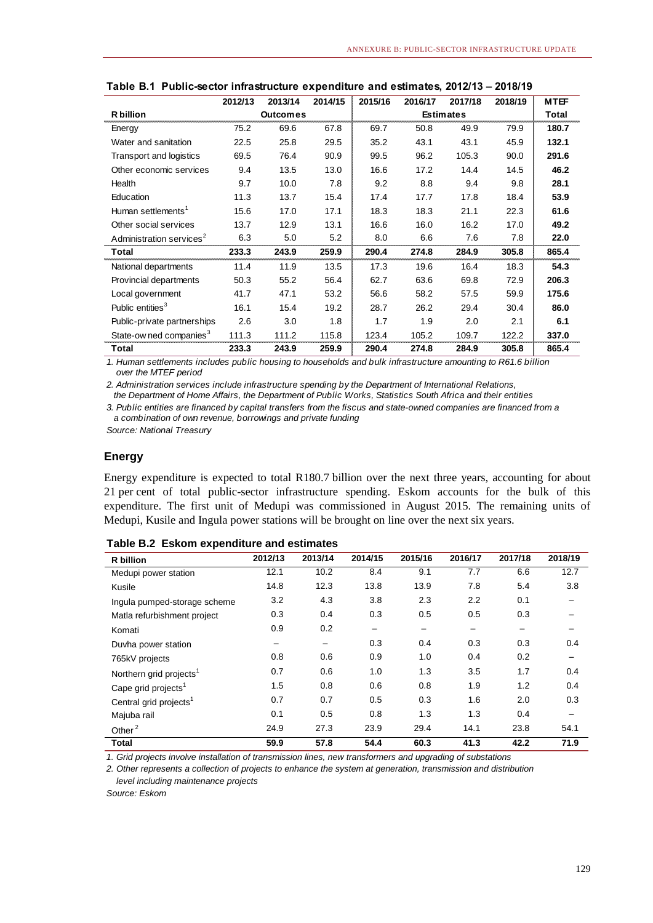|                                      | 2012/13 | 2013/14         | 2014/15 | 2015/16          | 2016/17 | 2017/18 | 2018/19 | <b>MTEF</b> |
|--------------------------------------|---------|-----------------|---------|------------------|---------|---------|---------|-------------|
| <b>R</b> billion                     |         | <b>Outcomes</b> |         | <b>Estimates</b> |         |         |         | Total       |
| Energy                               | 75.2    | 69.6            | 67.8    | 69.7             | 50.8    | 49.9    | 79.9    | 180.7       |
| Water and sanitation                 | 22.5    | 25.8            | 29.5    | 35.2             | 43.1    | 43.1    | 45.9    | 132.1       |
| Transport and logistics              | 69.5    | 76.4            | 90.9    | 99.5             | 96.2    | 105.3   | 90.0    | 291.6       |
| Other economic services              | 9.4     | 13.5            | 13.0    | 16.6             | 17.2    | 14.4    | 14.5    | 46.2        |
| Health                               | 9.7     | 10.0            | 7.8     | 9.2              | 8.8     | 9.4     | 9.8     | 28.1        |
| Education                            | 11.3    | 13.7            | 15.4    | 17.4             | 17.7    | 17.8    | 18.4    | 53.9        |
| Human settlements <sup>1</sup>       | 15.6    | 17.0            | 17.1    | 18.3             | 18.3    | 21.1    | 22.3    | 61.6        |
| Other social services                | 13.7    | 12.9            | 13.1    | 16.6             | 16.0    | 16.2    | 17.0    | 49.2        |
| Administration services <sup>2</sup> | 6.3     | 5.0             | 5.2     | 8.0              | 6.6     | 7.6     | 7.8     | 22.0        |
| Total                                | 233.3   | 243.9           | 259.9   | 290.4            | 274.8   | 284.9   | 305.8   | 865.4       |
| National departments                 | 11.4    | 11.9            | 13.5    | 17.3             | 19.6    | 16.4    | 18.3    | 54.3        |
| Provincial departments               | 50.3    | 55.2            | 56.4    | 62.7             | 63.6    | 69.8    | 72.9    | 206.3       |
| Local government                     | 41.7    | 47.1            | 53.2    | 56.6             | 58.2    | 57.5    | 59.9    | 175.6       |
| Public entities <sup>3</sup>         | 16.1    | 15.4            | 19.2    | 28.7             | 26.2    | 29.4    | 30.4    | 86.0        |
| Public-private partnerships          | 2.6     | 3.0             | 1.8     | 1.7              | 1.9     | 2.0     | 2.1     | 6.1         |
| State-ow ned companies <sup>3</sup>  | 111.3   | 111.2           | 115.8   | 123.4            | 105.2   | 109.7   | 122.2   | 337.0       |
| Total                                | 233.3   | 243.9           | 259.9   | 290.4            | 274.8   | 284.9   | 305.8   | 865.4       |

#### **Table B.1 Public-sector infrastructure expenditure and estimates, 2012/13 – 2018/19**

*1. Human settlements includes public housing to households and bulk infrastructure amounting to R61.6 billion over the MTEF period*

*2. Administration services include infrastructure spending by the Department of International Relations, the Department of Home Affairs, the Department of Public Works, Statistics South Africa and their entities*

*3. Public entities are financed by capital transfers from the fiscus and state-owned companies are financed from a a combination of own revenue, borrowings and private funding*

*Source: National Treasury*

#### **Energy**

Energy expenditure is expected to total R180.7 billion over the next three years, accounting for about 21 per cent of total public-sector infrastructure spending. Eskom accounts for the bulk of this expenditure. The first unit of Medupi was commissioned in August 2015. The remaining units of Medupi, Kusile and Ingula power stations will be brought on line over the next six years.

| R billion                           | 2012/13         | 2013/14 | 2014/15                      | 2015/16         | 2016/17 | 2017/18                  | 2018/19 |
|-------------------------------------|-----------------|---------|------------------------------|-----------------|---------|--------------------------|---------|
| Medupi power station                | 12.1            | 10.2    | 8.4                          | 9.1             | 7.7     | 6.6                      | 12.7    |
| Kusile                              | 14.8            | 12.3    | 13.8                         | 13.9            | 7.8     | 5.4                      | 3.8     |
| Ingula pumped-storage scheme        | 3.2             | 4.3     | 3.8                          | 2.3             | 2.2     | 0.1                      |         |
| Matla refurbishment project         | 0.3             | 0.4     | 0.3                          | 0.5             | 0.5     | 0.3                      |         |
| Komati                              | 0.9             | 0.2     | $\qquad \qquad \blacksquare$ | $\qquad \qquad$ |         | $\overline{\phantom{m}}$ |         |
| Duvha power station                 | $\qquad \qquad$ | -       | 0.3                          | 0.4             | 0.3     | 0.3                      | 0.4     |
| 765kV projects                      | 0.8             | 0.6     | 0.9                          | 1.0             | 0.4     | 0.2                      |         |
| Northern grid projects <sup>1</sup> | 0.7             | 0.6     | 1.0                          | 1.3             | 3.5     | 1.7                      | 0.4     |
| Cape grid projects <sup>1</sup>     | 1.5             | 0.8     | 0.6                          | 0.8             | 1.9     | 1.2                      | 0.4     |
| Central grid projects <sup>1</sup>  | 0.7             | 0.7     | 0.5                          | 0.3             | 1.6     | 2.0                      | 0.3     |
| Majuba rail                         | 0.1             | 0.5     | 0.8                          | 1.3             | 1.3     | 0.4                      |         |
| Other $2$                           | 24.9            | 27.3    | 23.9                         | 29.4            | 14.1    | 23.8                     | 54.1    |
| <b>Total</b>                        | 59.9            | 57.8    | 54.4                         | 60.3            | 41.3    | 42.2                     | 71.9    |

*1. Grid projects involve installation of transmission lines, new transformers and upgrading of substations* 

*2. Other represents a collection of projects to enhance the system at generation, transmission and distribution level including maintenance projects*

*Source: Eskom*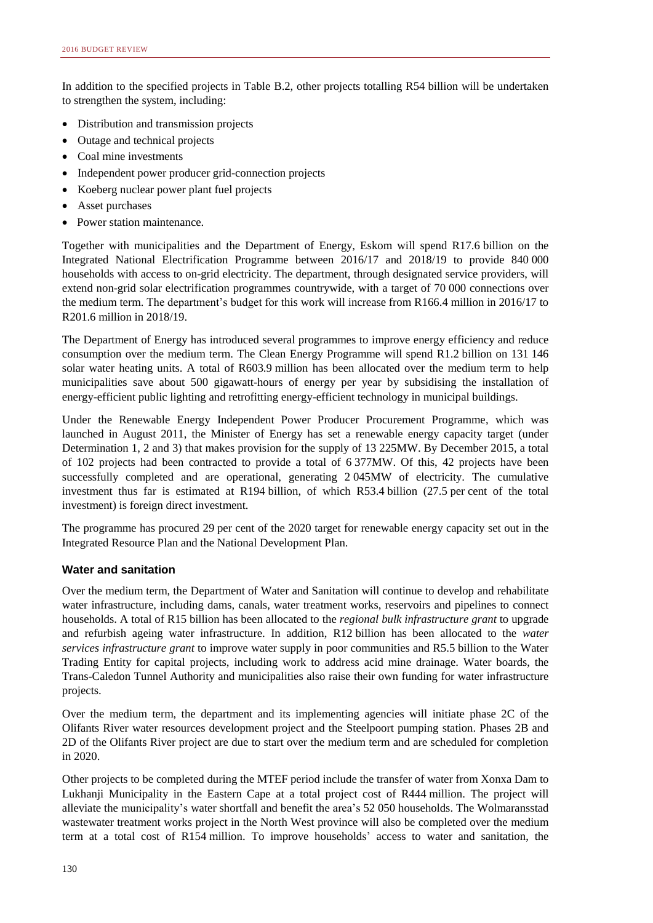In addition to the specified projects in Table B.2, other projects totalling R54 billion will be undertaken to strengthen the system, including:

- Distribution and transmission projects
- Outage and technical projects
- Coal mine investments
- Independent power producer grid-connection projects
- Koeberg nuclear power plant fuel projects
- Asset purchases
- Power station maintenance.

Together with municipalities and the Department of Energy, Eskom will spend R17.6 billion on the Integrated National Electrification Programme between 2016/17 and 2018/19 to provide 840 000 households with access to on-grid electricity. The department, through designated service providers, will extend non-grid solar electrification programmes countrywide, with a target of 70 000 connections over the medium term. The department's budget for this work will increase from R166.4 million in 2016/17 to R201.6 million in 2018/19.

The Department of Energy has introduced several programmes to improve energy efficiency and reduce consumption over the medium term. The Clean Energy Programme will spend R1.2 billion on 131 146 solar water heating units. A total of R603.9 million has been allocated over the medium term to help municipalities save about 500 gigawatt-hours of energy per year by subsidising the installation of energy-efficient public lighting and retrofitting energy-efficient technology in municipal buildings.

Under the Renewable Energy Independent Power Producer Procurement Programme, which was launched in August 2011, the Minister of Energy has set a renewable energy capacity target (under Determination 1, 2 and 3) that makes provision for the supply of 13 225MW. By December 2015, a total of 102 projects had been contracted to provide a total of 6 377MW. Of this, 42 projects have been successfully completed and are operational, generating 2 045MW of electricity. The cumulative investment thus far is estimated at R194 billion, of which R53.4 billion (27.5 per cent of the total investment) is foreign direct investment.

The programme has procured 29 per cent of the 2020 target for renewable energy capacity set out in the Integrated Resource Plan and the National Development Plan.

#### **Water and sanitation**

Over the medium term, the Department of Water and Sanitation will continue to develop and rehabilitate water infrastructure, including dams, canals, water treatment works, reservoirs and pipelines to connect households. A total of R15 billion has been allocated to the *regional bulk infrastructure grant* to upgrade and refurbish ageing water infrastructure. In addition, R12 billion has been allocated to the *water services infrastructure grant* to improve water supply in poor communities and R5.5 billion to the Water Trading Entity for capital projects, including work to address acid mine drainage. Water boards, the Trans-Caledon Tunnel Authority and municipalities also raise their own funding for water infrastructure projects.

Over the medium term, the department and its implementing agencies will initiate phase 2C of the Olifants River water resources development project and the Steelpoort pumping station. Phases 2B and 2D of the Olifants River project are due to start over the medium term and are scheduled for completion in 2020.

Other projects to be completed during the MTEF period include the transfer of water from Xonxa Dam to Lukhanji Municipality in the Eastern Cape at a total project cost of R444 million. The project will alleviate the municipality's water shortfall and benefit the area's 52 050 households. The Wolmaransstad wastewater treatment works project in the North West province will also be completed over the medium term at a total cost of R154 million. To improve households' access to water and sanitation, the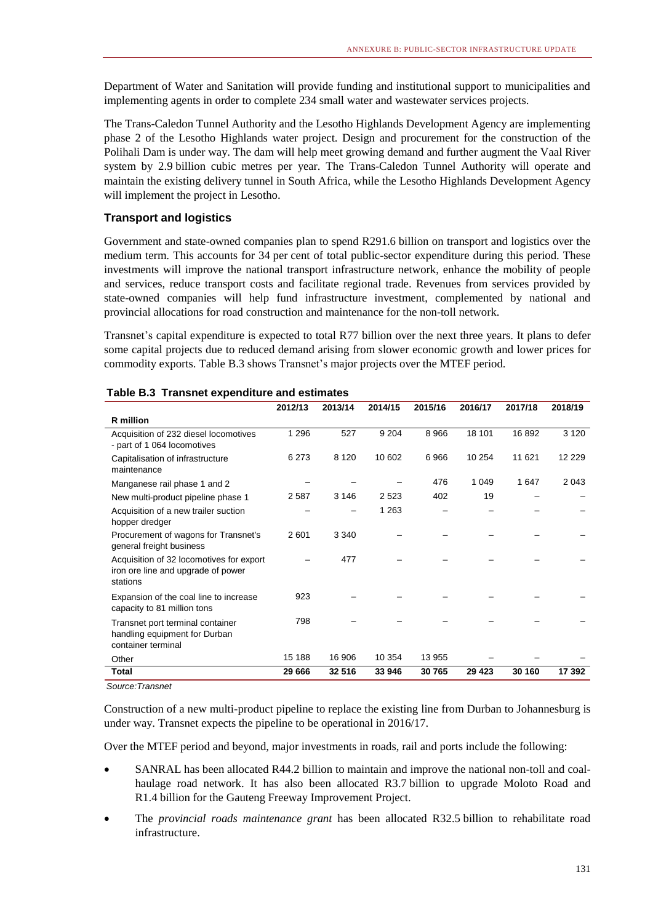Department of Water and Sanitation will provide funding and institutional support to municipalities and implementing agents in order to complete 234 small water and wastewater services projects.

The Trans-Caledon Tunnel Authority and the Lesotho Highlands Development Agency are implementing phase 2 of the Lesotho Highlands water project. Design and procurement for the construction of the Polihali Dam is under way. The dam will help meet growing demand and further augment the Vaal River system by 2.9 billion cubic metres per year. The Trans-Caledon Tunnel Authority will operate and maintain the existing delivery tunnel in South Africa, while the Lesotho Highlands Development Agency will implement the project in Lesotho.

#### **Transport and logistics**

Government and state-owned companies plan to spend R291.6 billion on transport and logistics over the medium term. This accounts for 34 per cent of total public-sector expenditure during this period. These investments will improve the national transport infrastructure network, enhance the mobility of people and services, reduce transport costs and facilitate regional trade. Revenues from services provided by state-owned companies will help fund infrastructure investment, complemented by national and provincial allocations for road construction and maintenance for the non-toll network.

Transnet's capital expenditure is expected to total R77 billion over the next three years. It plans to defer some capital projects due to reduced demand arising from slower economic growth and lower prices for commodity exports. Table B.3 shows Transnet's major projects over the MTEF period.

|                                                                                            | 2012/13 | 2013/14 | 2014/15 | 2015/16 | 2016/17 | 2017/18 | 2018/19  |
|--------------------------------------------------------------------------------------------|---------|---------|---------|---------|---------|---------|----------|
| R million                                                                                  |         |         |         |         |         |         |          |
| Acquisition of 232 diesel locomotives<br>- part of 1 064 locomotives                       | 1 2 9 6 | 527     | 9 2 0 4 | 8966    | 18 101  | 16892   | 3 1 2 0  |
| Capitalisation of infrastructure<br>maintenance                                            | 6 2 7 3 | 8 1 2 0 | 10 602  | 6966    | 10 254  | 11 621  | 12 2 2 9 |
| Manganese rail phase 1 and 2                                                               |         |         |         | 476     | 1 0 4 9 | 1647    | 2 0 4 3  |
| New multi-product pipeline phase 1                                                         | 2587    | 3 1 4 6 | 2 5 2 3 | 402     | 19      |         |          |
| Acquisition of a new trailer suction<br>hopper dredger                                     |         |         | 1 2 6 3 |         |         |         |          |
| Procurement of wagons for Transnet's<br>general freight business                           | 2601    | 3 3 4 0 |         |         |         |         |          |
| Acquisition of 32 locomotives for export<br>iron ore line and upgrade of power<br>stations |         | 477     |         |         |         |         |          |
| Expansion of the coal line to increase<br>capacity to 81 million tons                      | 923     |         |         |         |         |         |          |
| Transnet port terminal container<br>handling equipment for Durban<br>container terminal    | 798     |         |         |         |         |         |          |
| Other                                                                                      | 15 188  | 16 906  | 10 354  | 13 955  |         |         |          |
| <b>Total</b>                                                                               | 29 666  | 32 516  | 33 946  | 30 765  | 29 4 23 | 30 160  | 17 392   |

#### **Table B.3 Transnet expenditure and estimates**

*Source:Transnet*

Construction of a new multi-product pipeline to replace the existing line from Durban to Johannesburg is under way. Transnet expects the pipeline to be operational in 2016/17.

Over the MTEF period and beyond, major investments in roads, rail and ports include the following:

- SANRAL has been allocated R44.2 billion to maintain and improve the national non-toll and coalhaulage road network. It has also been allocated R3.7 billion to upgrade Moloto Road and R1.4 billion for the Gauteng Freeway Improvement Project.
- The *provincial roads maintenance grant* has been allocated R32.5 billion to rehabilitate road infrastructure.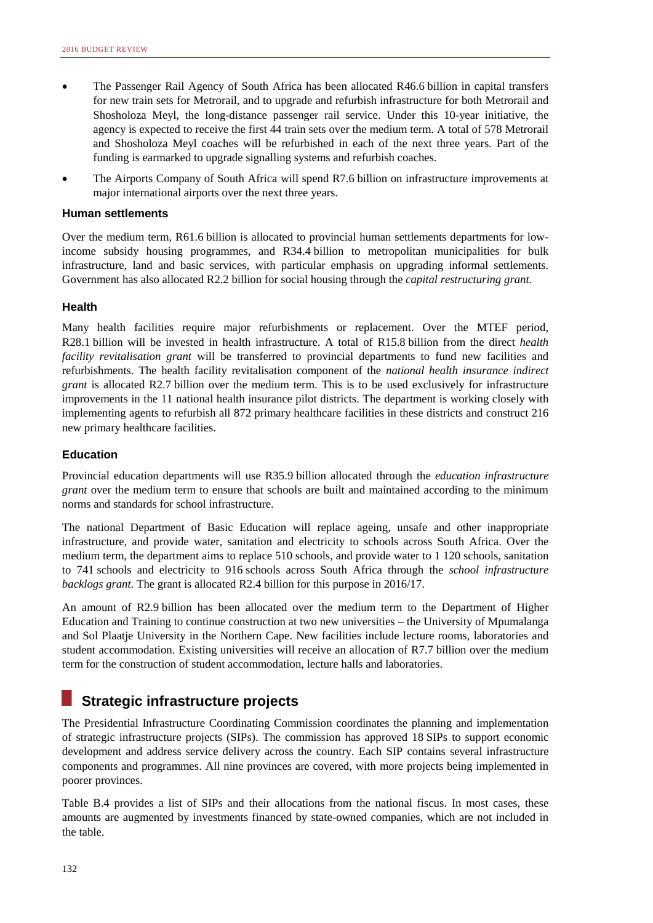- The Passenger Rail Agency of South Africa has been allocated R46.6 billion in capital transfers for new train sets for Metrorail, and to upgrade and refurbish infrastructure for both Metrorail and Shosholoza Meyl, the long-distance passenger rail service. Under this 10-year initiative, the agency is expected to receive the first 44 train sets over the medium term. A total of 578 Metrorail and Shosholoza Meyl coaches will be refurbished in each of the next three years. Part of the funding is earmarked to upgrade signalling systems and refurbish coaches.
- The Airports Company of South Africa will spend R7.6 billion on infrastructure improvements at major international airports over the next three years.

#### **Human settlements**

Over the medium term, R61.6 billion is allocated to provincial human settlements departments for lowincome subsidy housing programmes, and R34.4 billion to metropolitan municipalities for bulk infrastructure, land and basic services, with particular emphasis on upgrading informal settlements. Government has also allocated R2.2 billion for social housing through the *capital restructuring grant*.

#### **Health**

Many health facilities require major refurbishments or replacement. Over the MTEF period, R28.1 billion will be invested in health infrastructure. A total of R15.8 billion from the direct *health facility revitalisation grant* will be transferred to provincial departments to fund new facilities and refurbishments. The health facility revitalisation component of the *national health insurance indirect grant* is allocated R2.7 billion over the medium term. This is to be used exclusively for infrastructure improvements in the 11 national health insurance pilot districts. The department is working closely with implementing agents to refurbish all 872 primary healthcare facilities in these districts and construct 216 new primary healthcare facilities.

#### **Education**

Provincial education departments will use R35.9 billion allocated through the *education infrastructure grant* over the medium term to ensure that schools are built and maintained according to the minimum norms and standards for school infrastructure.

The national Department of Basic Education will replace ageing, unsafe and other inappropriate infrastructure, and provide water, sanitation and electricity to schools across South Africa. Over the medium term, the department aims to replace 510 schools, and provide water to 1 120 schools, sanitation to 741 schools and electricity to 916 schools across South Africa through the *school infrastructure backlogs grant*. The grant is allocated R2.4 billion for this purpose in 2016/17.

An amount of R2.9 billion has been allocated over the medium term to the Department of Higher Education and Training to continue construction at two new universities – the University of Mpumalanga and Sol Plaatje University in the Northern Cape. New facilities include lecture rooms, laboratories and student accommodation. Existing universities will receive an allocation of R7.7 billion over the medium term for the construction of student accommodation, lecture halls and laboratories.

## **Strategic infrastructure projects**

The Presidential Infrastructure Coordinating Commission coordinates the planning and implementation of strategic infrastructure projects (SIPs). The commission has approved 18 SIPs to support economic development and address service delivery across the country. Each SIP contains several infrastructure components and programmes. All nine provinces are covered, with more projects being implemented in poorer provinces.

Table B.4 provides a list of SIPs and their allocations from the national fiscus. In most cases, these amounts are augmented by investments financed by state-owned companies, which are not included in the table.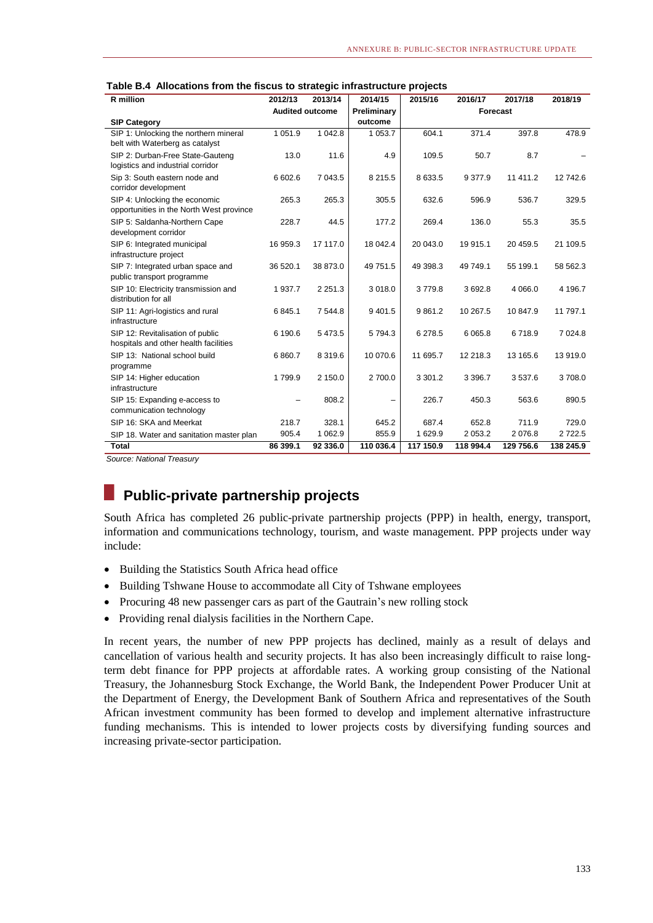| R million                                                       | 2012/13                | 2013/14     | 2014/15     | 2015/16   | 2016/17   | 2017/18   | 2018/19   |
|-----------------------------------------------------------------|------------------------|-------------|-------------|-----------|-----------|-----------|-----------|
|                                                                 | <b>Audited outcome</b> |             | Preliminary |           | Forecast  |           |           |
| <b>SIP Category</b>                                             |                        |             | outcome     |           |           |           |           |
| SIP 1: Unlocking the northern mineral                           | 1 0 5 1 .9             | 1 042.8     | 1 053.7     | 604.1     | 371.4     | 397.8     | 478.9     |
| belt with Waterberg as catalyst                                 |                        |             |             |           |           |           |           |
| SIP 2: Durban-Free State-Gauteng                                | 13.0                   | 11.6        | 4.9         | 109.5     | 50.7      | 8.7       |           |
| logistics and industrial corridor                               |                        |             |             |           |           |           |           |
| Sip 3: South eastern node and                                   | 6 602.6                | 7 043.5     | 8 2 1 5 . 5 | 8 633.5   | 9 3 7 7.9 | 11 411.2  | 12 742.6  |
| corridor development                                            |                        |             |             |           |           |           |           |
| SIP 4: Unlocking the economic                                   | 265.3                  | 265.3       | 305.5       | 632.6     | 596.9     | 536.7     | 329.5     |
| opportunities in the North West province                        |                        |             |             |           |           |           |           |
| SIP 5: Saldanha-Northern Cape                                   | 228.7                  | 44.5        | 177.2       | 269.4     | 136.0     | 55.3      | 35.5      |
| development corridor                                            |                        |             |             |           |           |           |           |
| SIP 6: Integrated municipal                                     | 16 959.3               | 17 117.0    | 18 042.4    | 20 043.0  | 19 915.1  | 20 459.5  | 21 109.5  |
| infrastructure project                                          |                        |             |             |           |           |           |           |
| SIP 7: Integrated urban space and<br>public transport programme | 36 520.1               | 38 873.0    | 49 751.5    | 49 398.3  | 49 749.1  | 55 199.1  | 58 562.3  |
| SIP 10: Electricity transmission and                            | 1937.7                 | 2 2 5 1 . 3 | 3 0 18.0    | 3779.8    | 3692.8    | 4 0 66.0  | 4 196.7   |
| distribution for all                                            |                        |             |             |           |           |           |           |
| SIP 11: Agri-logistics and rural                                | 6845.1                 | 7 544.8     | 9 4 0 1.5   | 9 8 6 1.2 | 10 267.5  | 10 847.9  | 11 797.1  |
| infrastructure                                                  |                        |             |             |           |           |           |           |
| SIP 12: Revitalisation of public                                | 6 190.6                | 5 4 7 3.5   | 5794.3      | 6 278.5   | 6 0 6 5.8 | 6718.9    | 7 0 24.8  |
| hospitals and other health facilities                           |                        |             |             |           |           |           |           |
| SIP 13: National school build                                   | 6 8 6 0.7              | 8 3 1 9 . 6 | 10 070.6    | 11 695.7  | 12 218.3  | 13 165.6  | 13 919.0  |
| programme                                                       |                        |             |             |           |           |           |           |
| SIP 14: Higher education                                        | 1799.9                 | 2 150.0     | 2 700.0     | 3 3 0 1.2 | 3 3 9 6.7 | 3 5 3 7.6 | 3708.0    |
| infrastructure                                                  |                        |             |             |           |           |           |           |
| SIP 15: Expanding e-access to                                   |                        | 808.2       |             | 226.7     | 450.3     | 563.6     | 890.5     |
| communication technology                                        |                        |             |             |           |           |           |           |
| SIP 16: SKA and Meerkat                                         | 218.7                  | 328.1       | 645.2       | 687.4     | 652.8     | 711.9     | 729.0     |
| SIP 18. Water and sanitation master plan                        | 905.4                  | 1 0 6 2.9   | 855.9       | 1 629.9   | 2 0 5 3.2 | 2 0 7 6.8 | 2722.5    |
| <b>Total</b>                                                    | 86 399.1               | 92 336.0    | 110 036.4   | 117 150.9 | 118 994.4 | 129 756.6 | 138 245.9 |

|  |  | Table B.4 Allocations from the fiscus to strategic infrastructure projects |  |
|--|--|----------------------------------------------------------------------------|--|
|  |  |                                                                            |  |

*Source: National Treasury*

## **Public-private partnership projects**

South Africa has completed 26 public-private partnership projects (PPP) in health, energy, transport, information and communications technology, tourism, and waste management. PPP projects under way include:

- Building the Statistics South Africa head office
- Building Tshwane House to accommodate all City of Tshwane employees
- Procuring 48 new passenger cars as part of the Gautrain's new rolling stock
- Providing renal dialysis facilities in the Northern Cape.

In recent years, the number of new PPP projects has declined, mainly as a result of delays and cancellation of various health and security projects. It has also been increasingly difficult to raise longterm debt finance for PPP projects at affordable rates. A working group consisting of the National Treasury, the Johannesburg Stock Exchange, the World Bank, the Independent Power Producer Unit at the Department of Energy, the Development Bank of Southern Africa and representatives of the South African investment community has been formed to develop and implement alternative infrastructure funding mechanisms. This is intended to lower projects costs by diversifying funding sources and increasing private-sector participation.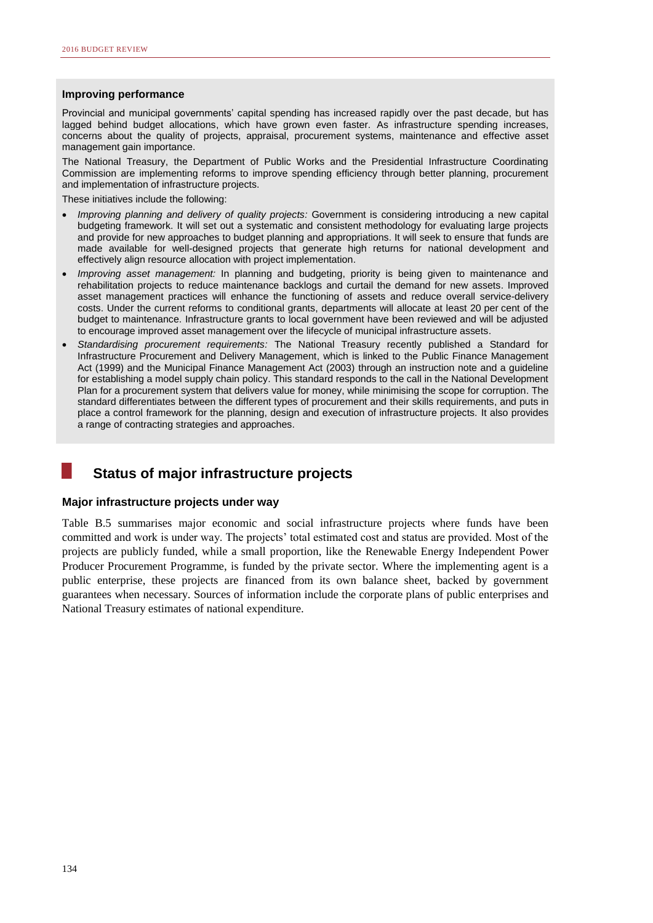#### **Improving performance**

Provincial and municipal governments' capital spending has increased rapidly over the past decade, but has lagged behind budget allocations, which have grown even faster. As infrastructure spending increases, concerns about the quality of projects, appraisal, procurement systems, maintenance and effective asset management gain importance.

The National Treasury, the Department of Public Works and the Presidential Infrastructure Coordinating Commission are implementing reforms to improve spending efficiency through better planning, procurement and implementation of infrastructure projects.

These initiatives include the following:

- *Improving planning and delivery of quality projects:* Government is considering introducing a new capital budgeting framework. It will set out a systematic and consistent methodology for evaluating large projects and provide for new approaches to budget planning and appropriations. It will seek to ensure that funds are made available for well-designed projects that generate high returns for national development and effectively align resource allocation with project implementation.
- *Improving asset management:* In planning and budgeting, priority is being given to maintenance and rehabilitation projects to reduce maintenance backlogs and curtail the demand for new assets. Improved asset management practices will enhance the functioning of assets and reduce overall service-delivery costs. Under the current reforms to conditional grants, departments will allocate at least 20 per cent of the budget to maintenance. Infrastructure grants to local government have been reviewed and will be adjusted to encourage improved asset management over the lifecycle of municipal infrastructure assets.
- *Standardising procurement requirements:* The National Treasury recently published a Standard for Infrastructure Procurement and Delivery Management, which is linked to the Public Finance Management Act (1999) and the Municipal Finance Management Act (2003) through an instruction note and a guideline for establishing a model supply chain policy. This standard responds to the call in the National Development Plan for a procurement system that delivers value for money, while minimising the scope for corruption. The standard differentiates between the different types of procurement and their skills requirements, and puts in place a control framework for the planning, design and execution of infrastructure projects. It also provides a range of contracting strategies and approaches.

## **Status of major infrastructure projects**

#### **Major infrastructure projects under way**

Table B.5 summarises major economic and social infrastructure projects where funds have been committed and work is under way. The projects' total estimated cost and status are provided. Most of the projects are publicly funded, while a small proportion, like the Renewable Energy Independent Power Producer Procurement Programme, is funded by the private sector. Where the implementing agent is a public enterprise, these projects are financed from its own balance sheet, backed by government guarantees when necessary. Sources of information include the corporate plans of public enterprises and National Treasury estimates of national expenditure.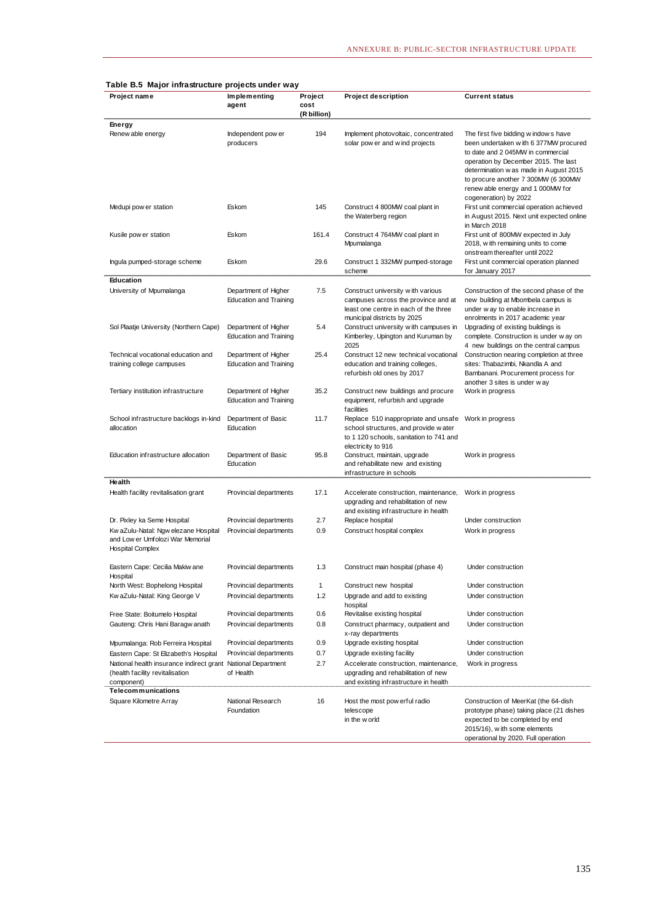| rable D.J major mirasuuture projects unuer way                                                                |                                                       |                                |                                                                                                                                                  |                                                                                                                                                                                                                                                                                                           |
|---------------------------------------------------------------------------------------------------------------|-------------------------------------------------------|--------------------------------|--------------------------------------------------------------------------------------------------------------------------------------------------|-----------------------------------------------------------------------------------------------------------------------------------------------------------------------------------------------------------------------------------------------------------------------------------------------------------|
| Project name                                                                                                  | Implementing<br>agent                                 | Project<br>cost<br>(R billion) | <b>Project description</b>                                                                                                                       | <b>Current status</b>                                                                                                                                                                                                                                                                                     |
| Energy                                                                                                        |                                                       |                                |                                                                                                                                                  |                                                                                                                                                                                                                                                                                                           |
| Renew able energy                                                                                             | Independent pow er<br>producers                       | 194                            | Implement photovoltaic, concentrated<br>solar pow er and w ind projects                                                                          | The first five bidding w indows have<br>been undertaken with 6 377MW procured<br>to date and 2 045MW in commercial<br>operation by December 2015. The last<br>determination w as made in August 2015<br>to procure another 7 300MW (6 300MW<br>renew able energy and 1 000MW for<br>cogeneration) by 2022 |
| Medupi pow er station                                                                                         | Eskom                                                 | 145                            | Construct 4 800MW coal plant in<br>the Waterberg region                                                                                          | First unit commercial operation achieved<br>in August 2015. Next unit expected online<br>in March 2018                                                                                                                                                                                                    |
| Kusile pow er station                                                                                         | Eskom                                                 | 161.4                          | Construct 4 764MW coal plant in<br>Mpumalanga                                                                                                    | First unit of 800MW expected in July<br>2018, with remaining units to come<br>onstream thereafter until 2022                                                                                                                                                                                              |
| Ingula pumped-storage scheme                                                                                  | Eskom                                                 | 29.6                           | Construct 1 332MW pumped-storage<br>scheme                                                                                                       | First unit commercial operation planned<br>for January 2017                                                                                                                                                                                                                                               |
| Education                                                                                                     |                                                       |                                |                                                                                                                                                  |                                                                                                                                                                                                                                                                                                           |
| University of Mpumalanga                                                                                      | Department of Higher<br><b>Education and Training</b> | 7.5                            | Construct university with various<br>campuses across the province and at<br>least one centre in each of the three<br>municipal districts by 2025 | Construction of the second phase of the<br>new building at Mbombela campus is<br>under way to enable increase in<br>enrolments in 2017 academic year                                                                                                                                                      |
| Sol Plaatje University (Northern Cape)                                                                        | Department of Higher<br><b>Education and Training</b> | 5.4                            | Construct university with campuses in<br>Kimberley, Upington and Kuruman by<br>2025                                                              | Upgrading of existing buildings is<br>complete. Construction is under w ay on<br>4 new buildings on the central campus                                                                                                                                                                                    |
| Technical vocational education and<br>training college campuses                                               | Department of Higher<br><b>Education and Training</b> | 25.4                           | Construct 12 new technical vocational<br>education and training colleges,<br>refurbish old ones by 2017                                          | Construction nearing completion at three<br>sites: Thabazimbi, Nkandla A and<br>Bambanani. Procurement process for<br>another 3 sites is under way                                                                                                                                                        |
| Tertiary institution infrastructure                                                                           | Department of Higher<br><b>Education and Training</b> | 35.2                           | Construct new buildings and procure<br>equipment, refurbish and upgrade<br>facilities                                                            | Work in progress                                                                                                                                                                                                                                                                                          |
| School infrastructure backlogs in-kind<br>allocation                                                          | Department of Basic<br>Education                      | 11.7                           | Replace 510 inappropriate and unsafe<br>school structures, and provide water<br>to 1 120 schools, sanitation to 741 and<br>electricity to 916    | Work in progress                                                                                                                                                                                                                                                                                          |
| Education infrastructure allocation                                                                           | Department of Basic<br>Education                      | 95.8                           | Construct, maintain, upgrade<br>and rehabilitate new and existing<br>infrastructure in schools                                                   | Work in progress                                                                                                                                                                                                                                                                                          |
| Health<br>Health facility revitalisation grant                                                                | Provincial departments                                | 17.1                           | Accelerate construction, maintenance,<br>upgrading and rehabilitation of new<br>and existing infrastructure in health                            | Work in progress                                                                                                                                                                                                                                                                                          |
| Dr. Pixley ka Seme Hospital                                                                                   | Provincial departments                                | 2.7                            | Replace hospital                                                                                                                                 | Under construction                                                                                                                                                                                                                                                                                        |
| Kw aZulu-Natal: Ngw elezane Hospital<br>and Low er Umfolozi War Memorial<br><b>Hospital Complex</b>           | Provincial departments                                | 0.9                            | Construct hospital complex                                                                                                                       | Work in progress                                                                                                                                                                                                                                                                                          |
| Eastern Cape: Cecilia Makiw ane<br>Hospital                                                                   | Provincial departments                                | 1.3                            | Construct main hospital (phase 4)                                                                                                                | Under construction                                                                                                                                                                                                                                                                                        |
| North West: Bophelong Hospital                                                                                | Provincial departments                                | $\mathbf{1}$                   | Construct new hospital                                                                                                                           | Under construction                                                                                                                                                                                                                                                                                        |
| Kw aZulu-Natal: King George V                                                                                 | Provincial departments                                | 1.2                            | Upgrade and add to existing<br>hospital                                                                                                          | Under construction                                                                                                                                                                                                                                                                                        |
| Free State: Boitumelo Hospital                                                                                | Provincial departments                                | 0.6                            | Revitalise existing hospital                                                                                                                     | Under construction                                                                                                                                                                                                                                                                                        |
| Gauteng: Chris Hani Baragw anath                                                                              | Provincial departments                                | 0.8                            | Construct pharmacy, outpatient and<br>x-ray departments                                                                                          | Under construction                                                                                                                                                                                                                                                                                        |
| Mpumalanga: Rob Ferreira Hospital                                                                             | Provincial departments                                | 0.9                            | Upgrade existing hospital                                                                                                                        | Under construction                                                                                                                                                                                                                                                                                        |
| Eastern Cape: St Elizabeth's Hospital                                                                         | Provincial departments                                | 0.7                            | Upgrade existing facility                                                                                                                        | Under construction                                                                                                                                                                                                                                                                                        |
| National health insurance indirect grant National Department<br>(health facility revitalisation<br>component) | of Health                                             | 2.7                            | Accelerate construction, maintenance,<br>upgrading and rehabilitation of new<br>and existing infrastructure in health                            | Work in progress                                                                                                                                                                                                                                                                                          |
| Telecommunications                                                                                            | National Research                                     | 16                             |                                                                                                                                                  |                                                                                                                                                                                                                                                                                                           |
| Square Kilometre Array                                                                                        | Foundation                                            |                                | Host the most pow erful radio<br>telescope<br>in the w orld                                                                                      | Construction of MeerKat (the 64-dish<br>prototype phase) taking place (21 dishes<br>expected to be completed by end<br>2015/16), with some elements<br>operational by 2020. Full operation                                                                                                                |

#### **Table B.5 Major infrastructure projects under way**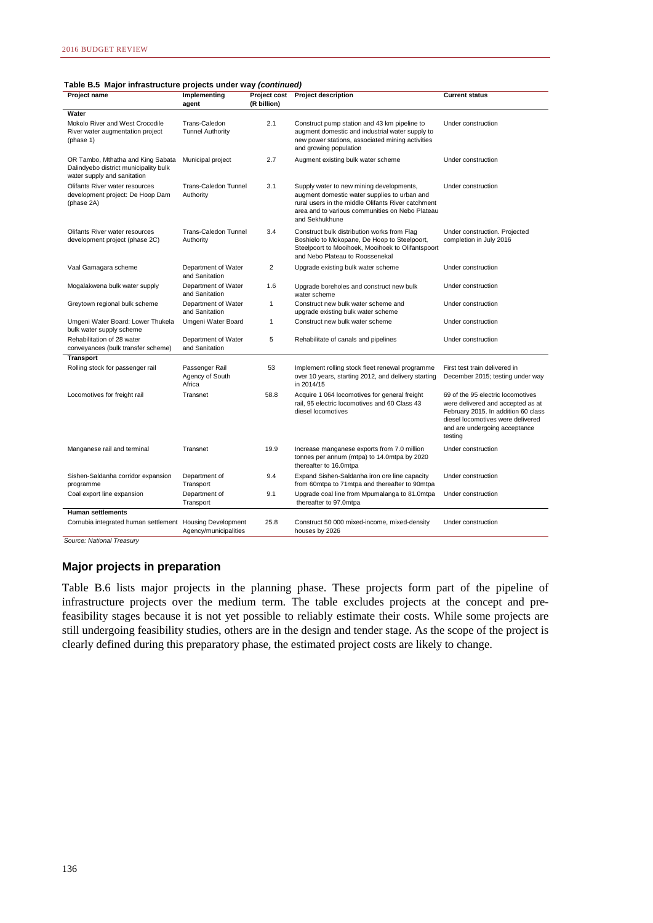|  | Table B.5 Major infrastructure projects under way (continued) |  |  |
|--|---------------------------------------------------------------|--|--|
|--|---------------------------------------------------------------|--|--|

| Project name                                                                                              | Implementing<br>agent                       | (R billion)  | Project cost Project description                                                                                                                                                                                    | <b>Current status</b>                                                                                                                                                                          |
|-----------------------------------------------------------------------------------------------------------|---------------------------------------------|--------------|---------------------------------------------------------------------------------------------------------------------------------------------------------------------------------------------------------------------|------------------------------------------------------------------------------------------------------------------------------------------------------------------------------------------------|
| Water                                                                                                     |                                             |              |                                                                                                                                                                                                                     |                                                                                                                                                                                                |
| Mokolo River and West Crocodile<br>River water augmentation project<br>(phase 1)                          | Trans-Caledon<br><b>Tunnel Authority</b>    | 2.1          | Construct pump station and 43 km pipeline to<br>augment domestic and industrial water supply to<br>new power stations, associated mining activities<br>and growing population                                       | Under construction                                                                                                                                                                             |
| OR Tambo, Mthatha and King Sabata<br>Dalindyebo district municipality bulk<br>water supply and sanitation | Municipal project                           | 2.7          | Augment existing bulk water scheme                                                                                                                                                                                  | Under construction                                                                                                                                                                             |
| Olifants River water resources<br>development project: De Hoop Dam<br>(phase 2A)                          | <b>Trans-Caledon Tunnel</b><br>Authority    | 3.1          | Supply water to new mining developments,<br>augment domestic water supplies to urban and<br>rural users in the middle Olifants River catchment<br>area and to various communities on Nebo Plateau<br>and Sekhukhune | Under construction                                                                                                                                                                             |
| Olifants River water resources<br>development project (phase 2C)                                          | Trans-Caledon Tunnel<br>Authority           | 3.4          | Construct bulk distribution works from Flag<br>Boshielo to Mokopane, De Hoop to Steelpoort,<br>Steelpoort to Mooihoek, Mooihoek to Olifantspoort<br>and Nebo Plateau to Roossenekal                                 | Under construction. Projected<br>completion in July 2016                                                                                                                                       |
| Vaal Gamagara scheme                                                                                      | Department of Water<br>and Sanitation       | 2            | Upgrade existing bulk water scheme                                                                                                                                                                                  | Under construction                                                                                                                                                                             |
| Mogalakwena bulk water supply                                                                             | Department of Water<br>and Sanitation       | 1.6          | Upgrade boreholes and construct new bulk<br>water scheme                                                                                                                                                            | Under construction                                                                                                                                                                             |
| Greytown regional bulk scheme                                                                             | Department of Water<br>and Sanitation       | $\mathbf{1}$ | Construct new bulk water scheme and<br>upgrade existing bulk water scheme                                                                                                                                           | Under construction                                                                                                                                                                             |
| Umgeni Water Board: Lower Thukela<br>bulk water supply scheme                                             | Umgeni Water Board                          | 1            | Construct new bulk water scheme                                                                                                                                                                                     | Under construction                                                                                                                                                                             |
| Rehabilitation of 28 water<br>conveyances (bulk transfer scheme)                                          | Department of Water<br>and Sanitation       | 5            | Rehabilitate of canals and pipelines                                                                                                                                                                                | Under construction                                                                                                                                                                             |
| <b>Transport</b>                                                                                          |                                             |              |                                                                                                                                                                                                                     |                                                                                                                                                                                                |
| Rolling stock for passenger rail                                                                          | Passenger Rail<br>Agency of South<br>Africa | 53           | Implement rolling stock fleet renewal programme<br>over 10 years, starting 2012, and delivery starting<br>in 2014/15                                                                                                | First test train delivered in<br>December 2015; testing under way                                                                                                                              |
| Locomotives for freight rail                                                                              | Transnet                                    | 58.8         | Acquire 1 064 locomotives for general freight<br>rail, 95 electric locomotives and 60 Class 43<br>diesel locomotives                                                                                                | 69 of the 95 electric locomotives<br>were delivered and accepted as at<br>February 2015. In addition 60 class<br>diesel locomotives were delivered<br>and are undergoing acceptance<br>testing |
| Manganese rail and terminal                                                                               | Transnet                                    | 19.9         | Increase manganese exports from 7.0 million<br>tonnes per annum (mtpa) to 14.0mtpa by 2020<br>thereafter to 16.0mtpa                                                                                                | Under construction                                                                                                                                                                             |
| Sishen-Saldanha corridor expansion<br>programme                                                           | Department of<br>Transport                  | 9.4          | Expand Sishen-Saldanha iron ore line capacity<br>from 60mtpa to 71mtpa and thereafter to 90mtpa                                                                                                                     | Under construction                                                                                                                                                                             |
| Coal export line expansion                                                                                | Department of<br>Transport                  | 9.1          | Upgrade coal line from Mpumalanga to 81.0mtpa<br>thereafter to 97.0mtpa                                                                                                                                             | Under construction                                                                                                                                                                             |
| <b>Human settlements</b>                                                                                  |                                             |              |                                                                                                                                                                                                                     |                                                                                                                                                                                                |
| Cornubia integrated human settlement Housing Development                                                  | Agency/municipalities                       | 25.8         | Construct 50 000 mixed-income, mixed-density<br>houses by 2026                                                                                                                                                      | Under construction                                                                                                                                                                             |

*Source: National Treasury*

#### **Major projects in preparation**

Table B.6 lists major projects in the planning phase. These projects form part of the pipeline of infrastructure projects over the medium term. The table excludes projects at the concept and prefeasibility stages because it is not yet possible to reliably estimate their costs. While some projects are still undergoing feasibility studies, others are in the design and tender stage. As the scope of the project is clearly defined during this preparatory phase, the estimated project costs are likely to change.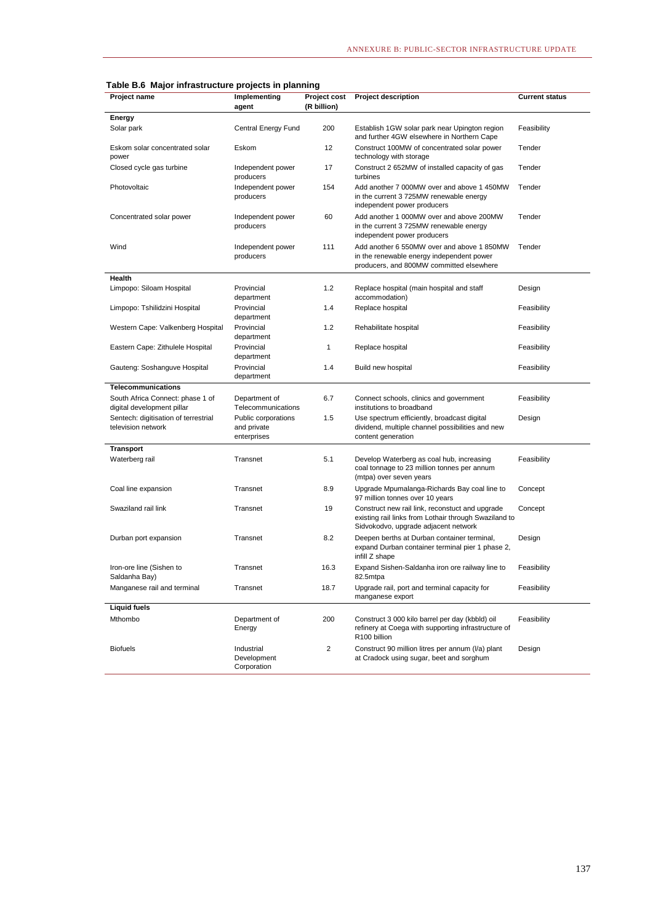|  |  | Table B.6 Major infrastructure projects in planning |
|--|--|-----------------------------------------------------|
|--|--|-----------------------------------------------------|

| Project name                                                   | Implementing<br>agent                             | <b>Project cost</b><br>(R billion) | <b>Project description</b>                                                                                                                       | <b>Current status</b> |
|----------------------------------------------------------------|---------------------------------------------------|------------------------------------|--------------------------------------------------------------------------------------------------------------------------------------------------|-----------------------|
| Energy                                                         |                                                   |                                    |                                                                                                                                                  |                       |
| Solar park                                                     | Central Energy Fund                               | 200                                | Establish 1GW solar park near Upington region<br>and further 4GW elsewhere in Northern Cape                                                      | Feasibility           |
| Eskom solar concentrated solar<br>power                        | Eskom                                             | 12                                 | Construct 100MW of concentrated solar power<br>technology with storage                                                                           | Tender                |
| Closed cycle gas turbine                                       | Independent power<br>producers                    | 17                                 | Construct 2 652MW of installed capacity of gas<br>turbines                                                                                       | Tender                |
| Photovoltaic                                                   | Independent power<br>producers                    | 154                                | Add another 7 000MW over and above 1 450MW<br>in the current 3 725MW renewable energy<br>independent power producers                             | Tender                |
| Concentrated solar power                                       | Independent power<br>producers                    | 60                                 | Add another 1 000MW over and above 200MW<br>in the current 3 725MW renewable energy<br>independent power producers                               | Tender                |
| Wind                                                           | Independent power<br>producers                    | 111                                | Add another 6 550MW over and above 1 850MW<br>in the renewable energy independent power<br>producers, and 800MW committed elsewhere              | Tender                |
| Health                                                         |                                                   |                                    |                                                                                                                                                  |                       |
| Limpopo: Siloam Hospital                                       | Provincial<br>department                          | 1.2                                | Replace hospital (main hospital and staff<br>accommodation)                                                                                      | Design                |
| Limpopo: Tshilidzini Hospital                                  | Provincial<br>department                          | 1.4                                | Replace hospital                                                                                                                                 | Feasibility           |
| Western Cape: Valkenberg Hospital                              | Provincial<br>department                          | 1.2                                | Rehabilitate hospital                                                                                                                            | Feasibility           |
| Eastern Cape: Zithulele Hospital                               | Provincial<br>department                          | 1                                  | Replace hospital                                                                                                                                 | Feasibility           |
| Gauteng: Soshanguve Hospital                                   | Provincial<br>department                          | 1.4                                | Build new hospital                                                                                                                               | Feasibility           |
| <b>Telecommunications</b>                                      |                                                   |                                    |                                                                                                                                                  |                       |
| South Africa Connect: phase 1 of<br>digital development pillar | Department of<br>Telecommunications               | 6.7                                | Connect schools, clinics and government<br>institutions to broadband                                                                             | Feasibility           |
| Sentech: digitisation of terrestrial<br>television network     | Public corporations<br>and private<br>enterprises | 1.5                                | Use spectrum efficiently, broadcast digital<br>dividend, multiple channel possibilities and new<br>content generation                            | Design                |
| <b>Transport</b>                                               |                                                   |                                    |                                                                                                                                                  |                       |
| Waterberg rail                                                 | Transnet                                          | 5.1                                | Develop Waterberg as coal hub, increasing<br>coal tonnage to 23 million tonnes per annum<br>(mtpa) over seven years                              | Feasibility           |
| Coal line expansion                                            | Transnet                                          | 8.9                                | Upgrade Mpumalanga-Richards Bay coal line to<br>97 million tonnes over 10 years                                                                  | Concept               |
| Swaziland rail link                                            | Transnet                                          | 19                                 | Construct new rail link, reconstuct and upgrade<br>existing rail links from Lothair through Swaziland to<br>Sidvokodvo, upgrade adjacent network | Concept               |
| Durban port expansion                                          | Transnet                                          | 8.2                                | Deepen berths at Durban container terminal,<br>expand Durban container terminal pier 1 phase 2,<br>infill Z shape                                | Design                |
| Iron-ore line (Sishen to<br>Saldanha Bay)                      | Transnet                                          | 16.3                               | Expand Sishen-Saldanha iron ore railway line to<br>82.5mtpa                                                                                      | Feasibility           |
| Manganese rail and terminal                                    | Transnet                                          | 18.7                               | Upgrade rail, port and terminal capacity for<br>manganese export                                                                                 | Feasibility           |
| <b>Liquid fuels</b>                                            |                                                   |                                    |                                                                                                                                                  |                       |
| Mthombo                                                        | Department of<br>Energy                           | 200                                | Construct 3 000 kilo barrel per day (kbbld) oil<br>refinery at Coega with supporting infrastructure of<br>R100 billion                           | Feasibility           |
| <b>Biofuels</b>                                                | Industrial<br>Development<br>Corporation          | 2                                  | Construct 90 million litres per annum (I/a) plant<br>at Cradock using sugar, beet and sorghum                                                    | Design                |